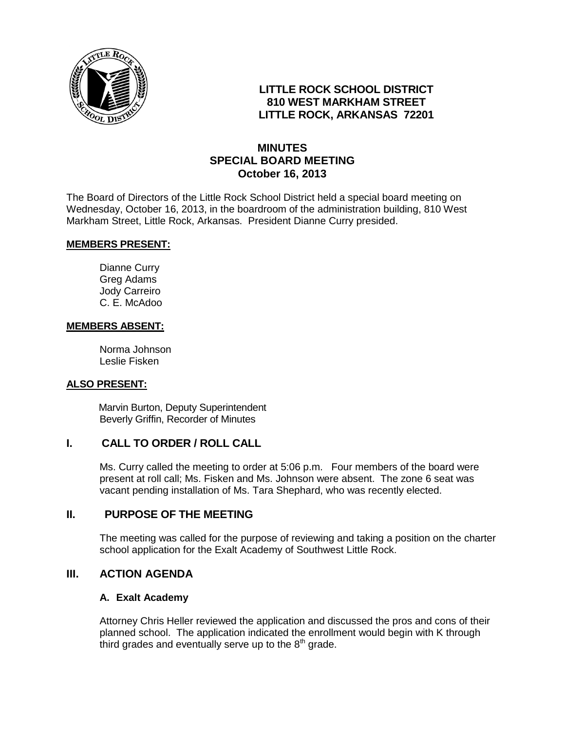

# **LITTLE ROCK SCHOOL DISTRICT 810 WEST MARKHAM STREET LITTLE ROCK, ARKANSAS 72201**

# **MINUTES SPECIAL BOARD MEETING October 16, 2013**

The Board of Directors of the Little Rock School District held a special board meeting on Wednesday, October 16, 2013, in the boardroom of the administration building, 810 West Markham Street, Little Rock, Arkansas. President Dianne Curry presided.

#### **MEMBERS PRESENT:**

Dianne Curry Greg Adams Jody Carreiro C. E. McAdoo

#### **MEMBERS ABSENT:**

Norma Johnson Leslie Fisken

#### **ALSO PRESENT:**

 Marvin Burton, Deputy Superintendent Beverly Griffin, Recorder of Minutes

## **I. CALL TO ORDER / ROLL CALL**

Ms. Curry called the meeting to order at 5:06 p.m. Four members of the board were present at roll call; Ms. Fisken and Ms. Johnson were absent. The zone 6 seat was vacant pending installation of Ms. Tara Shephard, who was recently elected.

### **II. PURPOSE OF THE MEETING**

The meeting was called for the purpose of reviewing and taking a position on the charter school application for the Exalt Academy of Southwest Little Rock.

## **III. ACTION AGENDA**

#### **A. Exalt Academy**

Attorney Chris Heller reviewed the application and discussed the pros and cons of their planned school. The application indicated the enrollment would begin with K through third grades and eventually serve up to the  $8<sup>th</sup>$  grade.